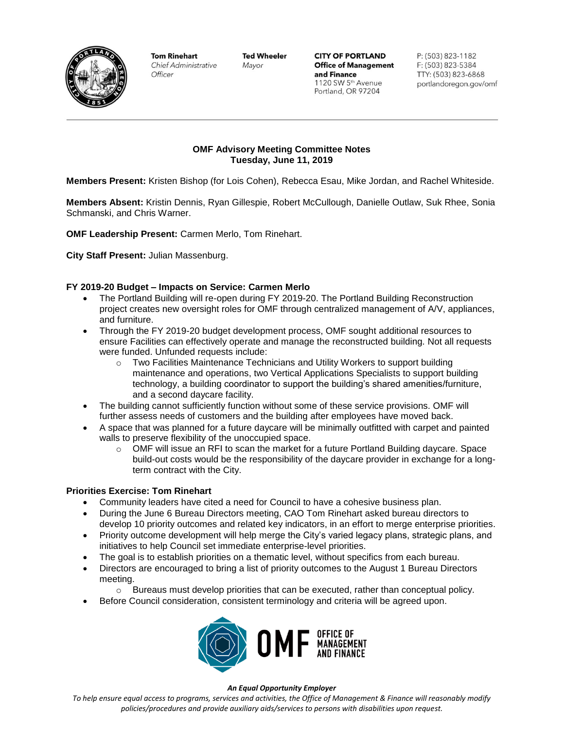

**Tom Rinehart Chief Administrative** Officer

**Ted Wheeler** Mayor

**CITY OF PORTLAND Office of Management** and Finance 1120 SW 5th Avenue Portland, OR 97204

P: (503) 823-1182 F: (503) 823-5384 TTY: (503) 823-6868 portlandoregon.gov/omf

## **OMF Advisory Meeting Committee Notes Tuesday, June 11, 2019**

**Members Present:** Kristen Bishop (for Lois Cohen), Rebecca Esau, Mike Jordan, and Rachel Whiteside.

**Members Absent:** Kristin Dennis, Ryan Gillespie, Robert McCullough, Danielle Outlaw, Suk Rhee, Sonia Schmanski, and Chris Warner.

**OMF Leadership Present:** Carmen Merlo, Tom Rinehart.

**City Staff Present:** Julian Massenburg.

## **FY 2019-20 Budget – Impacts on Service: Carmen Merlo**

- The Portland Building will re-open during FY 2019-20. The Portland Building Reconstruction project creates new oversight roles for OMF through centralized management of A/V, appliances, and furniture.
- Through the FY 2019-20 budget development process, OMF sought additional resources to ensure Facilities can effectively operate and manage the reconstructed building. Not all requests were funded. Unfunded requests include:
	- $\circ$  Two Facilities Maintenance Technicians and Utility Workers to support building maintenance and operations, two Vertical Applications Specialists to support building technology, a building coordinator to support the building's shared amenities/furniture, and a second daycare facility.
- The building cannot sufficiently function without some of these service provisions. OMF will further assess needs of customers and the building after employees have moved back.
- A space that was planned for a future daycare will be minimally outfitted with carpet and painted walls to preserve flexibility of the unoccupied space.
	- $\circ$  OMF will issue an RFI to scan the market for a future Portland Building daycare. Space build-out costs would be the responsibility of the daycare provider in exchange for a longterm contract with the City.

### **Priorities Exercise: Tom Rinehart**

- Community leaders have cited a need for Council to have a cohesive business plan.
- During the June 6 Bureau Directors meeting, CAO Tom Rinehart asked bureau directors to develop 10 priority outcomes and related key indicators, in an effort to merge enterprise priorities.
- Priority outcome development will help merge the City's varied legacy plans, strategic plans, and initiatives to help Council set immediate enterprise-level priorities.
- The goal is to establish priorities on a thematic level, without specifics from each bureau.
- Directors are encouraged to bring a list of priority outcomes to the August 1 Bureau Directors meeting.
	- $\circ$  Bureaus must develop priorities that can be executed, rather than conceptual policy.
- Before Council consideration, consistent terminology and criteria will be agreed upon.



#### *An Equal Opportunity Employer*

*To help ensure equal access to programs, services and activities, the Office of Management & Finance will reasonably modify policies/procedures and provide auxiliary aids/services to persons with disabilities upon request.*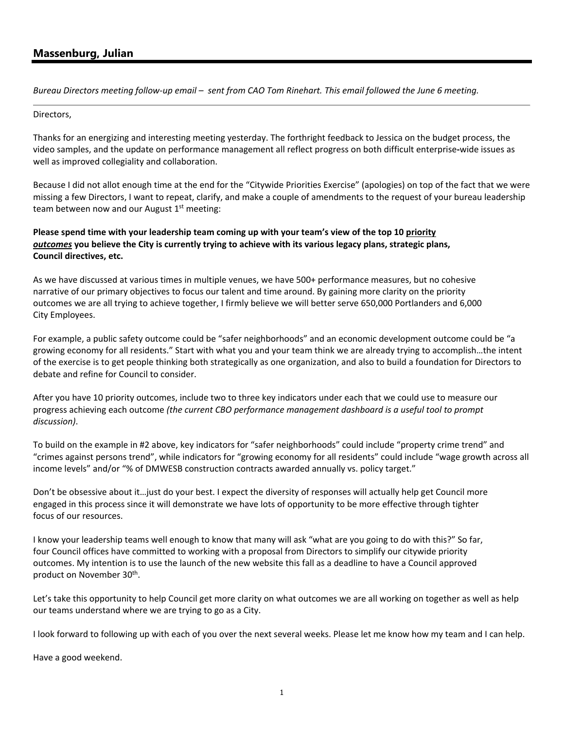# **Massenburg, Julian**

*Bureau Directors meeting follow‐up email – sent from CAO Tom Rinehart. This email followed the June 6 meeting.* 

#### Directors,

Thanks for an energizing and interesting meeting yesterday. The forthright feedback to Jessica on the budget process, the video samples, and the update on performance management all reflect progress on both difficult enterprise**‐**wide issues as well as improved collegiality and collaboration.

Because I did not allot enough time at the end for the "Citywide Priorities Exercise" (apologies) on top of the fact that we were missing a few Directors, I want to repeat, clarify, and make a couple of amendments to the request of your bureau leadership team between now and our August  $1<sup>st</sup>$  meeting:

# **Please spend time with your leadership team coming up with your team's view of the top 10 priority**  *outcomes* **you believe the City is currently trying to achieve with its various legacy plans, strategic plans, Council directives, etc.**

As we have discussed at various times in multiple venues, we have 500+ performance measures, but no cohesive narrative of our primary objectives to focus our talent and time around. By gaining more clarity on the priority outcomes we are all trying to achieve together, I firmly believe we will better serve 650,000 Portlanders and 6,000 City Employees.

For example, a public safety outcome could be "safer neighborhoods" and an economic development outcome could be "a growing economy for all residents." Start with what you and your team think we are already trying to accomplish…the intent of the exercise is to get people thinking both strategically as one organization, and also to build a foundation for Directors to debate and refine for Council to consider.

After you have 10 priority outcomes, include two to three key indicators under each that we could use to measure our progress achieving each outcome *(the current CBO performance management dashboard is a useful tool to prompt discussion)*.

To build on the example in #2 above, key indicators for "safer neighborhoods" could include "property crime trend" and "crimes against persons trend", while indicators for "growing economy for all residents" could include "wage growth across all income levels" and/or "% of DMWESB construction contracts awarded annually vs. policy target."

Don't be obsessive about it…just do your best. I expect the diversity of responses will actually help get Council more engaged in this process since it will demonstrate we have lots of opportunity to be more effective through tighter focus of our resources.

I know your leadership teams well enough to know that many will ask "what are you going to do with this?" So far, four Council offices have committed to working with a proposal from Directors to simplify our citywide priority outcomes. My intention is to use the launch of the new website this fall as a deadline to have a Council approved product on November 30th.

Let's take this opportunity to help Council get more clarity on what outcomes we are all working on together as well as help our teams understand where we are trying to go as a City.

I look forward to following up with each of you over the next several weeks. Please let me know how my team and I can help.

Have a good weekend.